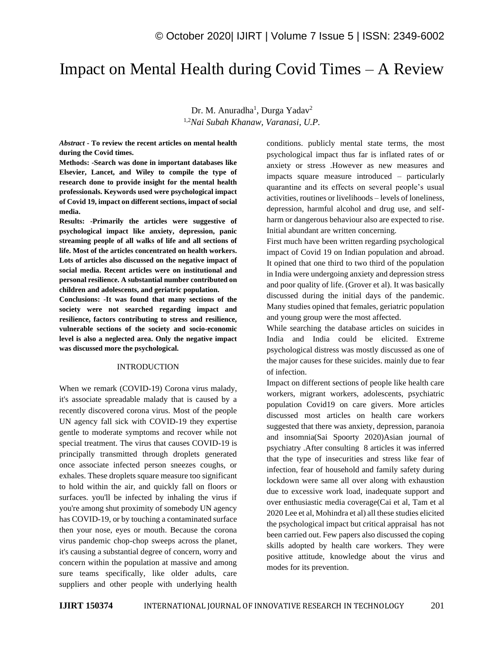## Impact on Mental Health during Covid Times – A Review

Dr. M. Anuradha<sup>1</sup>, Durga Yadav<sup>2</sup> 1,2*Nai Subah Khanaw, Varanasi, U.P.*

*Abstract -* **To review the recent articles on mental health during the Covid times.**

**Methods: -Search was done in important databases like Elsevier, Lancet, and Wiley to compile the type of research done to provide insight for the mental health professionals. Keywords used were psychological impact of Covid 19, impact on different sections, impact of social media.**

**Results: -Primarily the articles were suggestive of psychological impact like anxiety, depression, panic streaming people of all walks of life and all sections of life. Most of the articles concentrated on health workers. Lots of articles also discussed on the negative impact of social media. Recent articles were on institutional and personal resilience. A substantial number contributed on children and adolescents, and geriatric population.**

**Conclusions: -It was found that many sections of the society were not searched regarding impact and resilience, factors contributing to stress and resilience, vulnerable sections of the society and socio-economic level is also a neglected area. Only the negative impact was discussed more the psychological.**

## INTRODUCTION

When we remark (COVID-19) Corona virus malady, it's associate spreadable malady that is caused by a recently discovered corona virus. Most of the people UN agency fall sick with COVID-19 they expertise gentle to moderate symptoms and recover while not special treatment. The virus that causes COVID-19 is principally transmitted through droplets generated once associate infected person sneezes coughs, or exhales. These droplets square measure too significant to hold within the air, and quickly fall on floors or surfaces. you'll be infected by inhaling the virus if you're among shut proximity of somebody UN agency has COVID-19, or by touching a contaminated surface then your nose, eyes or mouth. Because the corona virus pandemic chop-chop sweeps across the planet, it's causing a substantial degree of concern, worry and concern within the population at massive and among sure teams specifically, like older adults, care suppliers and other people with underlying health

conditions. publicly mental state terms, the most psychological impact thus far is inflated rates of or anxiety or stress .However as new measures and impacts square measure introduced – particularly quarantine and its effects on several people's usual activities, routines or livelihoods – levels of loneliness, depression, harmful alcohol and drug use, and selfharm or dangerous behaviour also are expected to rise. Initial abundant are written concerning.

First much have been written regarding psychological impact of Covid 19 on Indian population and abroad. It opined that one third to two third of the population in India were undergoing anxiety and depression stress and poor quality of life. (Grover et al). It was basically discussed during the initial days of the pandemic. Many studies opined that females, geriatric population and young group were the most affected.

While searching the database articles on suicides in India and India could be elicited. Extreme psychological distress was mostly discussed as one of the major causes for these suicides. mainly due to fear of infection.

Impact on different sections of people like health care workers, migrant workers, adolescents, psychiatric population Covid19 on care givers. More articles discussed most articles on health care workers suggested that there was anxiety, depression, paranoia and insomnia(Sai Spoorty 2020)Asian journal of psychiatry .After consulting 8 articles it was inferred that the type of insecurities and stress like fear of infection, fear of household and family safety during lockdown were same all over along with exhaustion due to excessive work load, inadequate support and over enthusiastic media coverage(Cai et al, Tam et al 2020 Lee et al, Mohindra et al) all these studies elicited the psychological impact but critical appraisal has not been carried out. Few papers also discussed the coping skills adopted by health care workers. They were positive attitude, knowledge about the virus and modes for its prevention.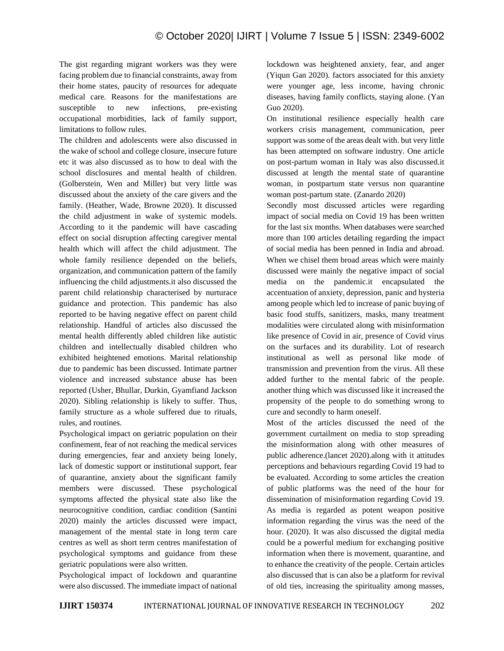The gist regarding migrant workers was they were facing problem due to financial constraints, away from their home states, paucity of resources for adequate medical care. Reasons for the manifestations are susceptible to new infections, pre-existing occupational morbidities, lack of family support, limitations to follow rules.

The children and adolescents were also discussed in the wake of school and college closure, insecure future etc it was also discussed as to how to deal with the school disclosures and mental health of children. (Golberstein, Wen and Miller) but very little was discussed about the anxiety of the care givers and the family. (Heather, Wade, Browne 2020). It discussed the child adjustment in wake of systemic models. According to it the pandemic will have cascading effect on social disruption affecting caregiver mental health which will affect the child adjustment. The whole family resilience depended on the beliefs, organization, and communication pattern of the family influencing the child adjustments.it also discussed the parent child relationship characterised by nurturace guidance and protection. This pandemic has also reported to be having negative effect on parent child relationship. Handful of articles also discussed the mental health differently abled children like autistic children and intellectually disabled children who exhibited heightened emotions. Marital relationship due to pandemic has been discussed. Intimate partner violence and increased substance abuse has been reported (Usher, Bhullar, Durkin, Gyamfiand Jackson 2020). Sibling relationship is likely to suffer. Thus, family structure as a whole suffered due to rituals, rules, and routines.

Psychological impact on geriatric population on their confinement, fear of not reaching the medical services during emergencies, fear and anxiety being lonely, lack of domestic support or institutional support, fear of quarantine, anxiety about the significant family members were discussed. These psychological symptoms affected the physical state also like the neurocognitive condition, cardiac condition (Santini 2020) mainly the articles discussed were impact, management of the mental state in long term care centres as well as short term centres manifestation of psychological symptoms and guidance from these geriatric populations were also written.

Psychological impact of lockdown and quarantine were also discussed. The immediate impact of national lockdown was heightened anxiety, fear, and anger (Yiqun Gan 2020). factors associated for this anxiety were younger age, less income, having chronic diseases, having family conflicts, staying alone. (Yan Guo 2020).

On institutional resilience especially health care workers crisis management, communication, peer support was some of the areas dealt with. but very little has been attempted on software industry. One article on post-partum woman in Italy was also discussed.it discussed at length the mental state of quarantine woman, in postpartum state versus non quarantine woman post-partum state. (Zanardo 2020)

Secondly most discussed articles were regarding impact of social media on Covid 19 has been written for the last six months. When databases were searched more than 100 articles detailing regarding the impact of social media has been penned in India and abroad. When we chisel them broad areas which were mainly discussed were mainly the negative impact of social media on the pandemic.it encapsulated the accentuation of anxiety, depression, panic and hysteria among people which led to increase of panic buying of basic food stuffs, sanitizers, masks, many treatment modalities were circulated along with misinformation like presence of Covid in air, presence of Covid virus on the surfaces and its durability. Lot of research institutional as well as personal like mode of transmission and prevention from the virus. All these added further to the mental fabric of the people. another thing which was discussed like it increased the propensity of the people to do something wrong to cure and secondly to harm oneself.

Most of the articles discussed the need of the government curtailment on media to stop spreading the misinformation along with other measures of public adherence.(lancet 2020).along with it attitudes perceptions and behaviours regarding Covid 19 had to be evaluated. According to some articles the creation of public platforms was the need of the hour for dissemination of misinformation regarding Covid 19. As media is regarded as potent weapon positive information regarding the virus was the need of the hour. (2020). It was also discussed the digital media could be a powerful medium for exchanging positive information when there is movement, quarantine, and to enhance the creativity of the people. Certain articles also discussed that is can also be a platform for revival of old ties, increasing the spirituality among masses,